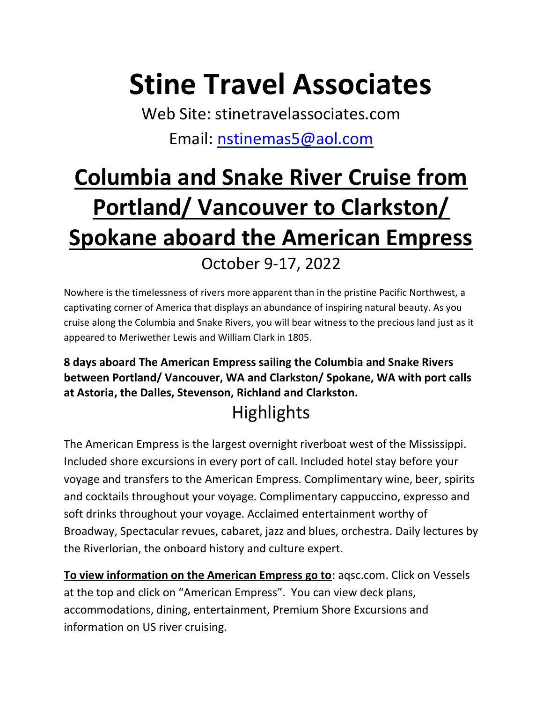# Stine Travel Associates

Web Site: stinetravelassociates.com Email: nstinemas5@aol.com

## Columbia and Snake River Cruise from Portland/ Vancouver to Clarkston/ Spokane aboard the American Empress October 9-17, 2022

Nowhere is the timelessness of rivers more apparent than in the pristine Pacific Northwest, a captivating corner of America that displays an abundance of inspiring natural beauty. As you cruise along the Columbia and Snake Rivers, you will bear witness to the precious land just as it appeared to Meriwether Lewis and William Clark in 1805.

8 days aboard The American Empress sailing the Columbia and Snake Rivers between Portland/ Vancouver, WA and Clarkston/ Spokane, WA with port calls at Astoria, the Dalles, Stevenson, Richland and Clarkston.

### Highlights

The American Empress is the largest overnight riverboat west of the Mississippi. Included shore excursions in every port of call. Included hotel stay before your voyage and transfers to the American Empress. Complimentary wine, beer, spirits and cocktails throughout your voyage. Complimentary cappuccino, expresso and soft drinks throughout your voyage. Acclaimed entertainment worthy of Broadway, Spectacular revues, cabaret, jazz and blues, orchestra. Daily lectures by the Riverlorian, the onboard history and culture expert.

To view information on the American Empress go to: aqsc.com. Click on Vessels at the top and click on "American Empress". You can view deck plans, accommodations, dining, entertainment, Premium Shore Excursions and information on US river cruising.